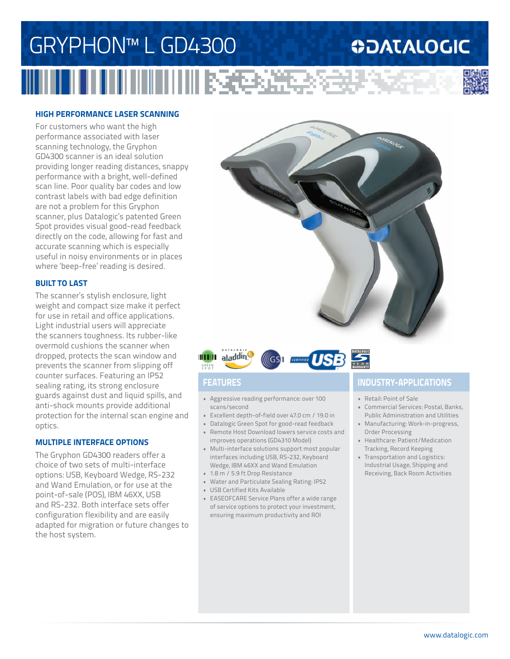## GRYPHON™ L GD4300 **ODATALOGIC** ■ 文化学の必要



For customers who want the high performance associated with laser scanning technology, the Gryphon GD4300 scanner is an ideal solution providing longer reading distances, snappy performance with a bright, well-defined scan line. Poor quality bar codes and low contrast labels with bad edge definition are not a problem for this Gryphon scanner, plus Datalogic's patented Green Spot provides visual good-read feedback directly on the code, allowing for fast and accurate scanning which is especially useful in noisy environments or in places where 'beep-free' reading is desired.

### **BUILT TO LAST**

The scanner's stylish enclosure, light weight and compact size make it perfect for use in retail and office applications. Light industrial users will appreciate the scanners toughness. Its rubber-like overmold cushions the scanner when dropped, protects the scan window and prevents the scanner from slipping off counter surfaces. Featuring an IP52 sealing rating, its strong enclosure guards against dust and liquid spills, and anti-shock mounts provide additional protection for the internal scan engine and optics.

### **MULTIPLE INTERFACE OPTIONS**

The Gryphon GD4300 readers offer a choice of two sets of multi-interface options: USB, Keyboard Wedge, RS-232 and Wand Emulation, or for use at the point-of-sale (POS), IBM 46XX, USB and RS-232. Both interface sets offer configuration flexibility and are easily adapted for migration or future changes to the host system.





- Aggressive reading performance: over 100 scans/second
- Excellent depth-of-field over 47.0 cm / 19.0 in
- Datalogic Green Spot for good-read feedback
- Remote Host Download lowers service costs and improves operations (GD4310 Model)
- Multi-interface solutions support most popular interfaces including USB, RS-232, Keyboard Wedge, IBM 46XX and Wand Emulation
- 1.8 m / 5.9 ft Drop Resistance
- Water and Particulate Sealing Rating: IP52
- USB Certified Kits Available
- EASEOFCARE Service Plans offer a wide range of service options to protect your investment, ensuring maximum productivity and ROI

### **FEATURES INDUSTRY-APPLICATIONS**

- Retail: Point of Sale
- Commercial Services: Postal, Banks, Public Administration and Utilities
- Manufacturing: Work-in-progress, Order Processing
- Healthcare: Patient/Medication Tracking, Record Keeping
- Transportation and Logistics: Industrial Usage, Shipping and Receiving, Back Room Activities